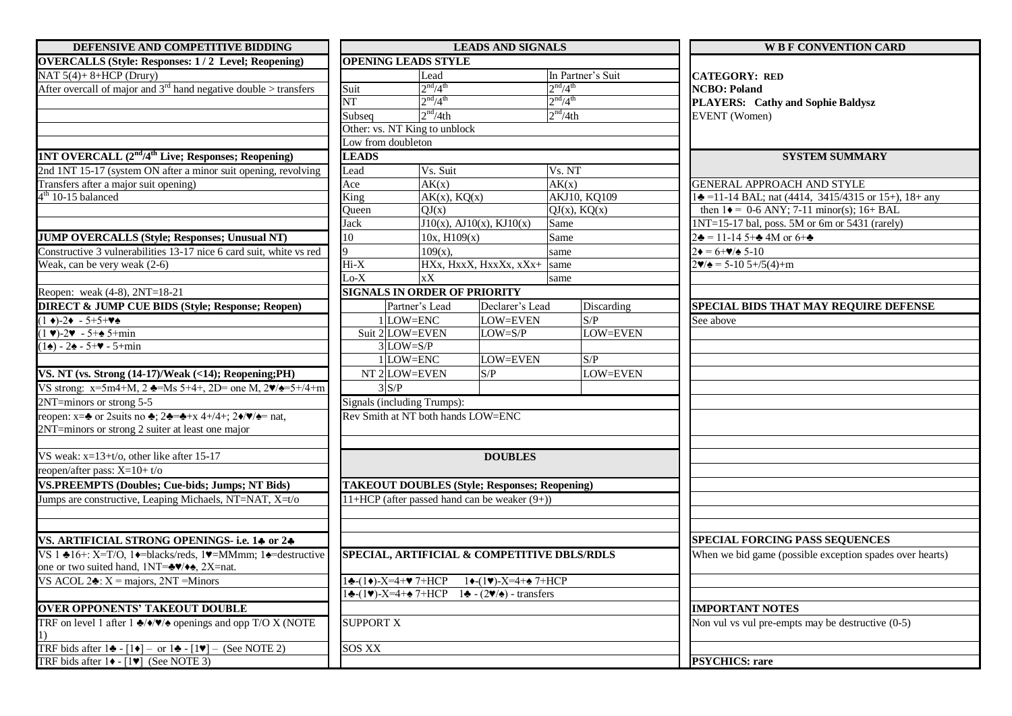| DEFENSIVE AND COMPETITIVE BIDDING                                                                                                              | <b>LEADS AND SIGNALS</b>                    |                                  |                                                                                            |                                       | <b>WBF CONVENTION CARD</b>                                     |  |
|------------------------------------------------------------------------------------------------------------------------------------------------|---------------------------------------------|----------------------------------|--------------------------------------------------------------------------------------------|---------------------------------------|----------------------------------------------------------------|--|
| <b>OVERCALLS (Style: Responses: 1/2 Level; Reopening)</b>                                                                                      | <b>OPENING LEADS STYLE</b>                  |                                  |                                                                                            |                                       |                                                                |  |
| NAT $5(4) + 8 + HCP$ (Drury)                                                                                                                   |                                             | Lead                             |                                                                                            | In Partner's Suit                     | <b>CATEGORY: RED</b>                                           |  |
| After overcall of major and $3rd$ hand negative double > transfers                                                                             | Suit                                        | 2 <sup>nd</sup> /4 <sup>th</sup> |                                                                                            |                                       | <b>NCBO: Poland</b>                                            |  |
|                                                                                                                                                | $\overline{\text{NT}}$                      | 2 <sup>nd</sup> /4 <sup>th</sup> |                                                                                            | $\frac{2^{nd}/4^{th}}{2^{nd}/4^{th}}$ | PLAYERS: Cathy and Sophie Baldysz                              |  |
|                                                                                                                                                | Subseq                                      | 2 <sup>nd</sup> /4th             |                                                                                            | 2 <sup>nd</sup> /4th                  | <b>EVENT</b> (Women)                                           |  |
|                                                                                                                                                | Other: vs. NT King to unblock               |                                  |                                                                                            |                                       |                                                                |  |
|                                                                                                                                                | Low from doubleton                          |                                  |                                                                                            |                                       |                                                                |  |
| 1NT OVERCALL (2 <sup>nd</sup> /4 <sup>th</sup> Live; Responses; Reopening)                                                                     | <b>LEADS</b>                                |                                  |                                                                                            |                                       | <b>SYSTEM SUMMARY</b>                                          |  |
| 2nd 1NT 15-17 (system ON after a minor suit opening, revolving                                                                                 | Vs. Suit<br>Lead                            |                                  |                                                                                            | Vs. NT                                |                                                                |  |
| Transfers after a major suit opening)                                                                                                          | Ace                                         | AK(x)                            |                                                                                            | AK(x)                                 | <b>GENERAL APPROACH AND STYLE</b>                              |  |
| $4th 10-15$ balanced                                                                                                                           | King                                        | $AK(x)$ , $KQ(x)$                |                                                                                            | <b>AKJ10, KQ109</b>                   | $1\clubsuit$ =11-14 BAL; nat (4414, 3415/4315 or 15+), 18+ any |  |
|                                                                                                                                                | Queen                                       | QJ(x)                            |                                                                                            | $QJ(x)$ , $KQ(x)$                     | then $1 \bullet = 0$ -6 ANY; 7-11 minor(s); 16+ BAL            |  |
|                                                                                                                                                | Jack                                        |                                  | $J10(x)$ , AJ10(x), KJ10(x)                                                                | Same                                  | 1NT=15-17 bal, poss. 5M or 6m or 5431 (rarely)                 |  |
| <b>JUMP OVERCALLS (Style; Responses; Unusual NT)</b>                                                                                           | 10                                          | 10x, H109(x)                     |                                                                                            | Same                                  | $2\clubsuit = 11 - 145 + 4M$ or $6 + \clubsuit$                |  |
| Constructive 3 vulnerabilities 13-17 nice 6 card suit, white vs red                                                                            | $\mathbf Q$                                 | $109(x)$ ,                       |                                                                                            | same                                  | $2\bullet = 6 + \frac{1}{2} \cdot 5 - 10$                      |  |
| Weak, can be very weak $(2-6)$                                                                                                                 | $Hi-X$                                      |                                  | HXx, HxxX, HxxXx, xXx+                                                                     | same                                  | $2\blacktriangledown/\blacktriangle = 5-105+5(4)+m$            |  |
|                                                                                                                                                | $Lo-X$                                      | xX                               |                                                                                            | same                                  |                                                                |  |
| Reopen: weak (4-8), 2NT=18-21                                                                                                                  | <b>SIGNALS IN ORDER OF PRIORITY</b>         |                                  |                                                                                            |                                       |                                                                |  |
| <b>DIRECT &amp; JUMP CUE BIDS (Style; Response; Reopen)</b>                                                                                    |                                             | Partner's Lead                   | Declarer's Lead                                                                            | Discarding                            | SPECIAL BIDS THAT MAY REQUIRE DEFENSE                          |  |
| $(1 \bullet) - 2 \bullet - 5 + 5 + \bullet \bullet$                                                                                            | LOW=ENC                                     |                                  | LOW=EVEN                                                                                   | S/P                                   | See above                                                      |  |
| $(1 \vee) - 2 \vee - 5 + \triangle 5 + \min$                                                                                                   | Suit 2 LOW=EVEN                             |                                  | $LOW = S/P$                                                                                | <b>LOW=EVEN</b>                       |                                                                |  |
| $(1\spadesuit) - 2\spadesuit - 5 + m$ in                                                                                                       | $3$ LOW=S/P                                 |                                  |                                                                                            |                                       |                                                                |  |
|                                                                                                                                                | LOW=ENC                                     |                                  | LOW=EVEN                                                                                   | S/P                                   |                                                                |  |
| VS. NT (vs. Strong (14-17)/Weak (<14); Reopening; PH)                                                                                          | NT <sub>2</sub> LOW=EVEN                    |                                  | S/P                                                                                        | LOW=EVEN                              |                                                                |  |
| VS strong: x=5m4+M, 2 $\triangleleft$ =Ms 5+4+, 2D= one M, 2 $\angle$ / $\triangleleft$ =5+/4+m                                                | $3$ S/P                                     |                                  |                                                                                            |                                       |                                                                |  |
| 2NT=minors or strong 5-5                                                                                                                       | Signals (including Trumps):                 |                                  |                                                                                            |                                       |                                                                |  |
| reopen: $x = \triangle$ or 2 suits no $\triangle$ ; 2 $\triangle$ = $\triangle$ +x 4+/4+; 2 $\triangle$ / $\triangledown$ / $\triangle$ = nat, | Rev Smith at NT both hands LOW=ENC          |                                  |                                                                                            |                                       |                                                                |  |
| 2NT=minors or strong 2 suiter at least one major                                                                                               |                                             |                                  |                                                                                            |                                       |                                                                |  |
|                                                                                                                                                |                                             |                                  |                                                                                            |                                       |                                                                |  |
| VS weak: x=13+t/o, other like after 15-17                                                                                                      |                                             |                                  | <b>DOUBLES</b>                                                                             |                                       |                                                                |  |
| reopen/after pass: X=10+t/o                                                                                                                    |                                             |                                  |                                                                                            |                                       |                                                                |  |
| <b>VS.PREEMPTS (Doubles; Cue-bids; Jumps; NT Bids)</b>                                                                                         |                                             |                                  | <b>TAKEOUT DOUBLES (Style; Responses; Reopening)</b>                                       |                                       |                                                                |  |
| Jumps are constructive, Leaping Michaels, NT=NAT, X=t/o                                                                                        |                                             |                                  | $11+HCP$ (after passed hand can be weaker $(9+)$ )                                         |                                       |                                                                |  |
|                                                                                                                                                |                                             |                                  |                                                                                            |                                       |                                                                |  |
|                                                                                                                                                |                                             |                                  |                                                                                            |                                       |                                                                |  |
| VS. ARTIFICIAL STRONG OPENINGS- i.e. 14 or 24                                                                                                  |                                             |                                  |                                                                                            |                                       | <b>SPECIAL FORCING PASS SEQUENCES</b>                          |  |
| VS 1<br>16+: X=T/O, 1 $\bullet$ =blacks/reds, 1 $\bullet$ =MMmm; 1 $\bullet$ =destructive                                                      | SPECIAL, ARTIFICIAL & COMPETITIVE DBLS/RDLS |                                  |                                                                                            |                                       | When we bid game (possible exception spades over hearts)       |  |
| one or two suited hand, 1NT= $\clubsuit \blacktriangledown/\blacklozenge$ , 2X=nat.                                                            |                                             |                                  |                                                                                            |                                       |                                                                |  |
| VS ACOL $2\clubsuit$ : X = majors, 2NT = Minors                                                                                                |                                             |                                  |                                                                                            |                                       |                                                                |  |
|                                                                                                                                                |                                             |                                  | $1\clubsuit$ -(1V)-X=4+ $\spadesuit$ 7+HCP 1 $\clubsuit$ - (2V/ $\spadesuit$ ) - transfers |                                       |                                                                |  |
| <b>OVER OPPONENTS' TAKEOUT DOUBLE</b>                                                                                                          |                                             |                                  |                                                                                            |                                       | <b>IMPORTANT NOTES</b>                                         |  |
| TRF on level 1 after 1 $\triangle$ / $\blacklozenge$ / $\blacktriangleright$ / $\blacktriangleright$ openings and opp T/O X (NOTE              | <b>SUPPORT X</b>                            |                                  |                                                                                            |                                       | Non vul vs vul pre-empts may be destructive $(0-5)$            |  |
|                                                                                                                                                |                                             |                                  |                                                                                            |                                       |                                                                |  |
| TRF bids after $1\blacktriangle - [1\blacktriangleright]$ – or $1\blacktriangle - [1\blacktriangleright]$ – (See NOTE 2)                       | SOS XX                                      |                                  |                                                                                            |                                       |                                                                |  |
| TRF bids after $1\blacklozenge$ - $[1\blacktriangledown]$ (See NOTE 3)                                                                         |                                             |                                  |                                                                                            |                                       | <b>PSYCHICS: rare</b>                                          |  |